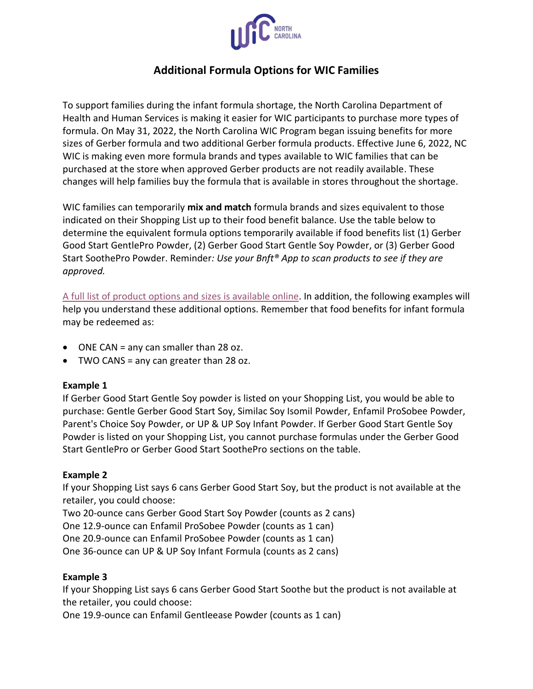

# **Additional Formula Options for WIC Families**

To support families during the infant formula shortage, the North Carolina Department of Health and Human Services is making it easier for WIC participants to purchase more types of formula. On May 31, 2022, the North Carolina WIC Program began issuing benefits for more sizes of Gerber formula and two additional Gerber formula products. Effective June 6, 2022, NC WIC is making even more formula brands and types available to WIC families that can be purchased at the store when approved Gerber products are not readily available. These changes will help families buy the formula that is available in stores throughout the shortage.

WIC families can temporarily **mix and match** formula brands and sizes equivalent to those indicated on their Shopping List up to their food benefit balance. Use the table below to determine the equivalent formula options temporarily available if food benefits list (1) Gerber Good Start GentlePro Powder, (2) Gerber Good Start Gentle Soy Powder, or (3) Gerber Good Start SoothePro Powder. Reminder*: Use your Bnft® App to scan products to see if they are approved.*

[A full list of product options and sizes is available online.](https://www.ncdhhs.gov/media/15593/open) In addition, the following examples will help you understand these additional options. Remember that food benefits for infant formula may be redeemed as:

- ONE CAN = any can smaller than 28 oz.
- TWO CANS = any can greater than 28 oz.

#### **Example 1**

If Gerber Good Start Gentle Soy powder is listed on your Shopping List, you would be able to purchase: Gentle Gerber Good Start Soy, Similac Soy Isomil Powder, Enfamil ProSobee Powder, Parent's Choice Soy Powder, or UP & UP Soy Infant Powder. If Gerber Good Start Gentle Soy Powder is listed on your Shopping List, you cannot purchase formulas under the Gerber Good Start GentlePro or Gerber Good Start SoothePro sections on the table.

#### **Example 2**

If your Shopping List says 6 cans Gerber Good Start Soy, but the product is not available at the retailer, you could choose:

Two 20-ounce cans Gerber Good Start Soy Powder (counts as 2 cans)

One 12.9-ounce can Enfamil ProSobee Powder (counts as 1 can)

One 20.9-ounce can Enfamil ProSobee Powder (counts as 1 can)

One 36-ounce can UP & UP Soy Infant Formula (counts as 2 cans)

### **Example 3**

If your Shopping List says 6 cans Gerber Good Start Soothe but the product is not available at the retailer, you could choose:

One 19.9-ounce can Enfamil Gentleease Powder (counts as 1 can)